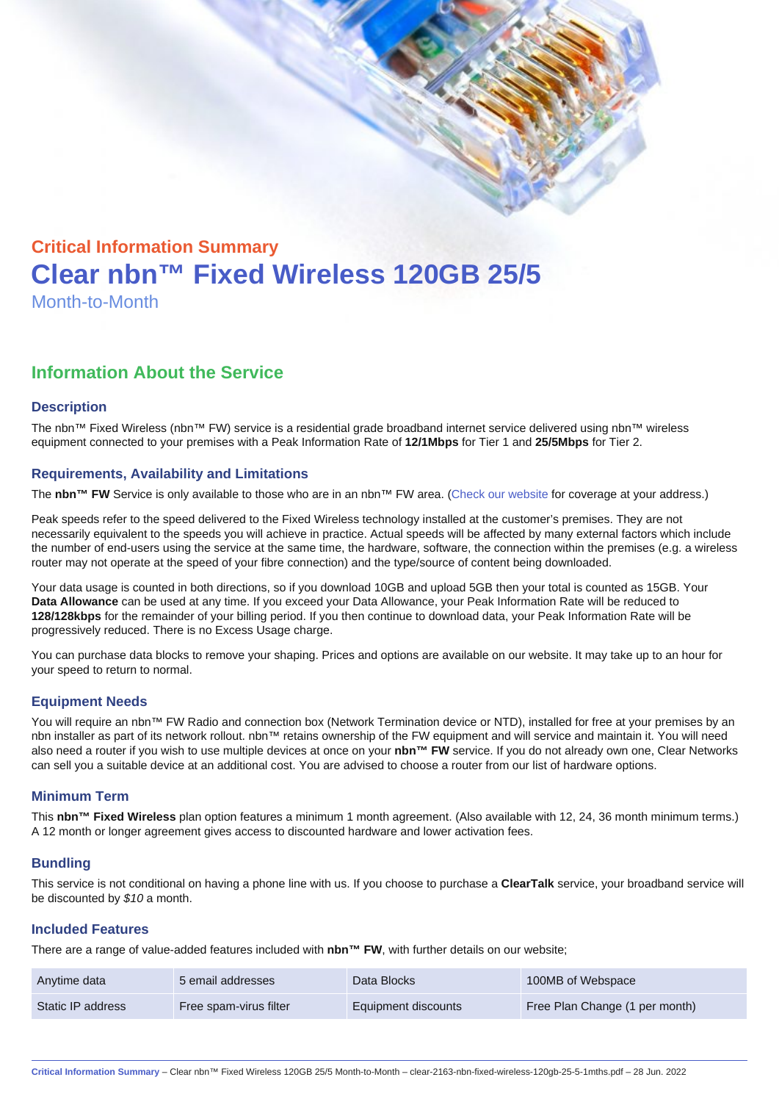# Critical Information Summary Clear nbn™ Fixed Wireless 120GB 25/5 Month-to-Month

## Information About the Service

#### **Description**

The nbn™ Fixed Wireless (nbn™ FW) service is a residential grade broadband internet service delivered using nbn™ wireless equipment connected to your premises with a Peak Information Rate of 12/1Mbps for Tier 1 and 25/5Mbps for Tier 2.

#### Requirements, Availability and Limitations

The nbn™ FW Service is only available to those who are in an nbn™ FW area. [\(Check our website](https://www.clear.com.au/business/nbn-fixed-wireless/) for coverage at your address.)

Peak speeds refer to the speed delivered to the Fixed Wireless technology installed at the customer's premises. They are not necessarily equivalent to the speeds you will achieve in practice. Actual speeds will be affected by many external factors which include the number of end-users using the service at the same time, the hardware, software, the connection within the premises (e.g. a wireless router may not operate at the speed of your fibre connection) and the type/source of content being downloaded.

Your data usage is counted in both directions, so if you download 10GB and upload 5GB then your total is counted as 15GB. Your Data Allowance can be used at any time. If you exceed your Data Allowance, your Peak Information Rate will be reduced to 128/128kbps for the remainder of your billing period. If you then continue to download data, your Peak Information Rate will be progressively reduced. There is no Excess Usage charge.

You can purchase data blocks to remove your shaping. Prices and options are available on our website. It may take up to an hour for your speed to return to normal.

#### Equipment Needs

You will require an nbn™ FW Radio and connection box (Network Termination device or NTD), installed for free at your premises by an nbn installer as part of its network rollout. nbn™ retains ownership of the FW equipment and will service and maintain it. You will need also need a router if you wish to use multiple devices at once on your nbn™ FW service. If you do not already own one, Clear Networks can sell you a suitable device at an additional cost. You are advised to choose a router from our list of hardware options.

#### Minimum Term

This nbn™ Fixed Wireless plan option features a minimum 1 month agreement. (Also available with 12, 24, 36 month minimum terms.) A 12 month or longer agreement gives access to discounted hardware and lower activation fees.

#### **Bundling**

This service is not conditional on having a phone line with us. If you choose to purchase a ClearTalk service, your broadband service will be discounted by \$10 a month.

#### Included Features

There are a range of value-added features included with nbn™ FW, with further details on our website;

| Anytime data      | 5 email addresses      | Data Blocks         | 100MB of Webspace              |
|-------------------|------------------------|---------------------|--------------------------------|
| Static IP address | Free spam-virus filter | Equipment discounts | Free Plan Change (1 per month) |